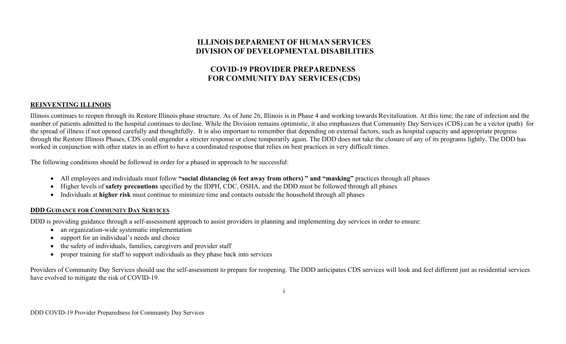# **ILLINOIS DEPARMENT OF HUMAN SERVICES DIVISION OF DEVELOPMENTAL DISABILITIES**

# **COVID-19 PROVIDER PREPAREDNESS FOR COMMUNITY DAY SERVICES (CDS)**

### **REINVENTING ILLINOIS**

Illinois continues to reopen through its Restore Illinois phase structure. As of June 26, Illinois is in Phase 4 and working towards Revitalization. At this time, the rate of infection and the number of patients admitted to the hospital continues to decline. While the Division remains optimistic, it also emphasizes that Community Day Services (CDS) can be a vector (path) for the spread of illness if not opened carefully and thoughtfully. It is also important to remember that depending on external factors, such as hospital capacity and appropriate progress through the Restore Illinois Phases, CDS could engender a stricter response or close temporarily again. The DDD does not take the closure of any of its programs lightly. The DDD has worked in conjunction with other states in an effort to have a coordinated response that relies on best practices in very difficult times.

The following conditions should be followed in order for a phased in approach to be successful:

- All employees and individuals must follow **"social distancing (6 feet away from others) " and "masking"** practices through all phases
- Higher levels of **safety precautions** specified by the IDPH, CDC, OSHA, and the DDD must be followed through all phases
- Individuals at **higher risk** must continue to minimize time and contacts outside the household through all phases

### **DDD GUIDANCE FOR COMMUNITY DAY SERVICES**

DDD is providing guidance through a self-assessment approach to assist providers in planning and implementing day services in order to ensure:

- an organization-wide systematic implementation
- support for an individual's needs and choice
- the safety of individuals, families, caregivers and provider staff
- proper training for staff to support individuals as they phase back into services

Providers of Community Day Services should use the self-assessment to prepare for reopening. The DDD anticipates CDS services will look and feel different just as residential services have evolved to mitigate the risk of COVID-19.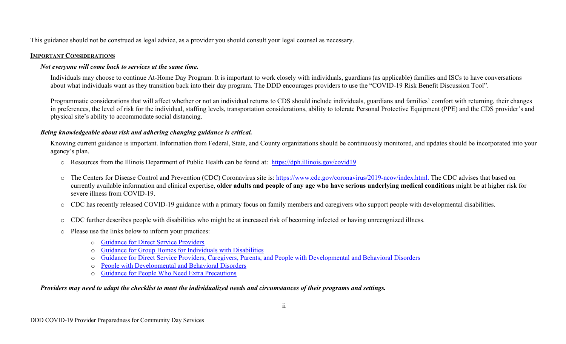This guidance should not be construed as legal advice, as a provider you should consult your legal counsel as necessary.

## **IMPORTANT CONSIDERATIONS**

## *Not everyone will come back to services at the same time.*

Individuals may choose to continue At-Home Day Program. It is important to work closely with individuals, guardians (as applicable) families and ISCs to have conversations about what individuals want as they transition back into their day program. The DDD encourages providers to use the "COVID-19 Risk Benefit Discussion Tool".

Programmatic considerations that will affect whether or not an individual returns to CDS should include individuals, guardians and families' comfort with returning, their changes in preferences, the level of risk for the individual, staffing levels, transportation considerations, ability to tolerate Personal Protective Equipment (PPE) and the CDS provider's and physical site's ability to accommodate social distancing.

## *Being knowledgeable about risk and adhering changing guidance is critical.*

Knowing current guidance is important. Information from Federal, State, and County organizations should be continuously monitored, and updates should be incorporated into your agency's plan.

- o Resources from the Illinois Department of Public Health can be found at: <https://dph.illinois.gov/covid19>
- o The Centers for Disease Control and Prevention (CDC) Coronavirus site is: [https://www.cdc.gov/coronavirus/2019-ncov/index.html.](https://www.cdc.gov/coronavirus/2019-ncov/index.html) The CDC advises that based on currently available information and clinical expertise, **older adults and people of any age who have serious underlying medical conditions** might be at higher risk for severe illness from COVID-19.
- o CDC has recently released COVID-19 guidance with a primary focus on family members and caregivers who support people with developmental disabilities.
- o CDC further describes people with disabilities who might be at increased risk of becoming infected or having unrecognized illness.
- o Please use the links below to inform your practices:
	- o [Guidance for Direct Service Providers](https://urldefense.com/v3/__https:/www.cdc.gov/coronavirus/2019-ncov/hcp/direct-service-providers.html__;!!LIYSdFfckKA!gQ1r8hPFVGeLd0TQbie3K12QdSj5fexqUyCU2wb_5W4Npa583iv9EPxrMxpsqwefW7s_idCU$)
	- [Guidance for Group Homes for Individuals with Disabilities](https://urldefense.com/v3/__https:/www.cdc.gov/coronavirus/2019-ncov/community/group-homes.html__;!!LIYSdFfckKA!gQ1r8hPFVGeLd0TQbie3K12QdSj5fexqUyCU2wb_5W4Npa583iv9EPxrMxpsqwefW8bQb8G-$)
	- [Guidance for Direct Service Providers, Caregivers, Parents, and People with Developmental and Behavioral Disorders](https://urldefense.com/v3/__https:/www.cdc.gov/coronavirus/2019-ncov/hcp/developmental-behavioral-disorders.html__;!!LIYSdFfckKA!gQ1r8hPFVGeLd0TQbie3K12QdSj5fexqUyCU2wb_5W4Npa583iv9EPxrMxpsqwefW8LSouth$)
	- o [People with Developmental and Behavioral Disorders](https://urldefense.com/v3/__https:/www.cdc.gov/coronavirus/2019-ncov/need-extra-precautions/people-with-developmental-behavioral-disabilities.html__;!!LIYSdFfckKA!gQ1r8hPFVGeLd0TQbie3K12QdSj5fexqUyCU2wb_5W4Npa583iv9EPxrMxpsqwefW3Nx2lUl$)
	- o [Guidance for People Who Need Extra Precautions](https://www.cdc.gov/coronavirus/2019-ncov/need-extra-precautions/people-with-disabilities.html)

## *Providers may need to adapt the checklist to meet the individualized needs and circumstances of their programs and settings.*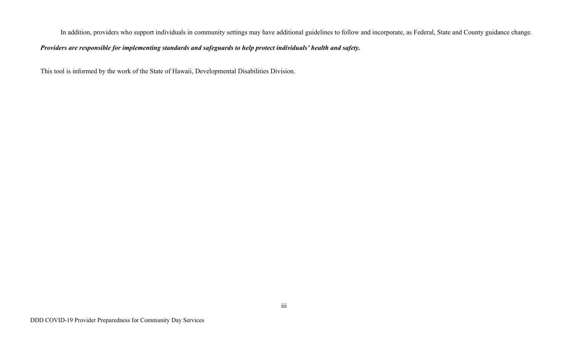In addition, providers who support individuals in community settings may have additional guidelines to follow and incorporate, as Federal, State and County guidance change.

# *Providers are responsible for implementing standards and safeguards to help protect individuals' health and safety.*

This tool is informed by the work of the State of Hawaii, Developmental Disabilities Division.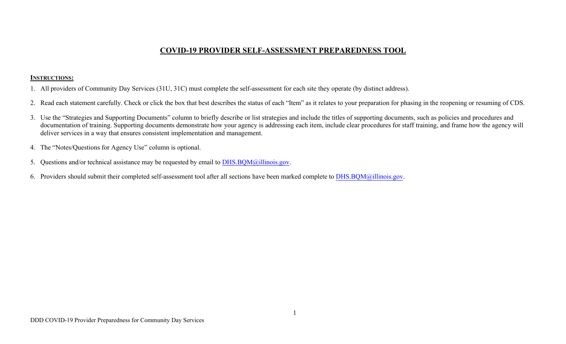# **COVID-19 PROVIDER SELF-ASSESSMENT PREPAREDNESS TOOL**

### **INSTRUCTIONS:**

- 1. All providers of Community Day Services (31U, 31C) must complete the self-assessment for each site they operate (by distinct address).
- 2. Read each statement carefully. Check or click the box that best describes the status of each "Item" as it relates to your preparation for phasing in the reopening or resuming of CDS.
- 3. Use the "Strategies and Supporting Documents" column to briefly describe or list strategies and include the titles of supporting documents, such as policies and procedures and documentation of training. Supporting documents demonstrate how your agency is addressing each item, include clear procedures for staff training, and frame how the agency will deliver services in a way that ensures consistent implementation and management.
- 4. The "Notes/Questions for Agency Use" column is optional.
- 5. Questions and/or technical assistance may be requested by email to DHS.BQM[@illinois.gov.](mailto:DHS.BQM@illinois.gov)
- 6. Providers should submit their completed self-assessment tool after all sections have been marked complete to DHS.BQM[@illinois.gov.](mailto:DHS.BQM@illinois.gov)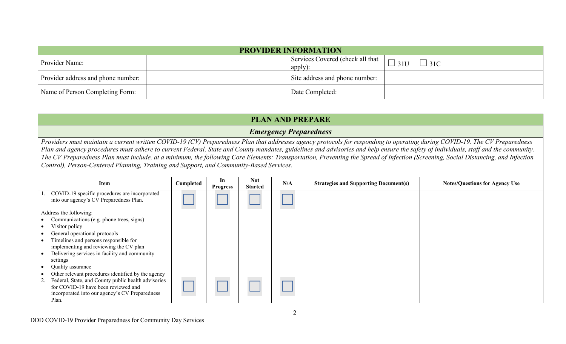| <b>PROVIDER INFORMATION</b>        |  |                                             |                          |  |  |  |  |  |  |
|------------------------------------|--|---------------------------------------------|--------------------------|--|--|--|--|--|--|
| Provider Name:                     |  | Services Covered (check all that<br>apply): | $\Box$ 31U<br>$\Box$ 31C |  |  |  |  |  |  |
| Provider address and phone number: |  | Site address and phone number:              |                          |  |  |  |  |  |  |
| Name of Person Completing Form:    |  | Date Completed:                             |                          |  |  |  |  |  |  |

# **PLAN AND PREPARE**

## *Emergency Preparedness*

*Providers must maintain a current written COVID-19 (CV) Preparedness Plan that addresses agency protocols for responding to operating during COVID-19. The CV Preparedness Plan and agency procedures must adhere to current Federal, State and County mandates, guidelines and advisories and help ensure the safety of individuals, staff and the community. The CV Preparedness Plan must include, at a minimum, the following Core Elements: Transportation, Preventing the Spread of Infection (Screening, Social Distancing, and Infection Control), Person-Centered Planning, Training and Support, and Community-Based Services.* 

| Item                                                                                                                                                                                                                                                                                                                                             | Completed | In<br><b>Progress</b> | <b>Not</b><br><b>Started</b> | N/A | <b>Strategies and Supporting Document(s)</b> | <b>Notes/Questions for Agency Use</b> |
|--------------------------------------------------------------------------------------------------------------------------------------------------------------------------------------------------------------------------------------------------------------------------------------------------------------------------------------------------|-----------|-----------------------|------------------------------|-----|----------------------------------------------|---------------------------------------|
| 1. COVID-19 specific procedures are incorporated<br>into our agency's CV Preparedness Plan.                                                                                                                                                                                                                                                      |           |                       |                              |     |                                              |                                       |
| Address the following:<br>Communications (e.g. phone trees, signs)<br>Visitor policy<br>General operational protocols<br>Timelines and persons responsible for<br>implementing and reviewing the CV plan<br>Delivering services in facility and community<br>settings<br>Quality assurance<br>Other relevant procedures identified by the agency |           |                       |                              |     |                                              |                                       |
| 2. Federal, State, and County public health advisories<br>for COVID-19 have been reviewed and<br>incorporated into our agency's CV Preparedness<br>Plan.                                                                                                                                                                                         |           |                       |                              |     |                                              |                                       |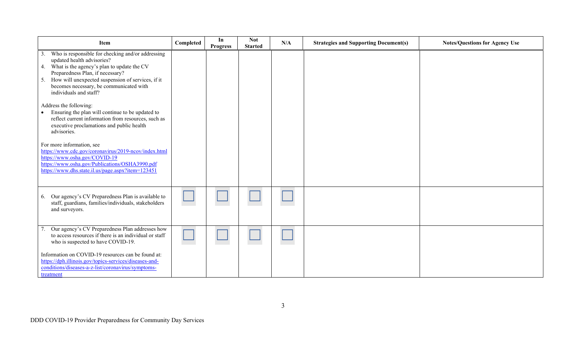| Item                                                                                                                                                                                                                                                                                                    | Completed | In<br><b>Progress</b> | <b>Not</b><br><b>Started</b> | N/A | <b>Strategies and Supporting Document(s)</b> | <b>Notes/Questions for Agency Use</b> |
|---------------------------------------------------------------------------------------------------------------------------------------------------------------------------------------------------------------------------------------------------------------------------------------------------------|-----------|-----------------------|------------------------------|-----|----------------------------------------------|---------------------------------------|
| Who is responsible for checking and/or addressing<br>3.<br>updated health advisories?<br>4. What is the agency's plan to update the CV<br>Preparedness Plan, if necessary?<br>5. How will unexpected suspension of services, if it<br>becomes necessary, be communicated with<br>individuals and staff? |           |                       |                              |     |                                              |                                       |
| Address the following:<br>Ensuring the plan will continue to be updated to<br>reflect current information from resources, such as<br>executive proclamations and public health<br>advisories.                                                                                                           |           |                       |                              |     |                                              |                                       |
| For more information, see<br>https://www.cdc.gov/coronavirus/2019-ncov/index.html<br>https://www.osha.gov/COVID-19<br>https://www.osha.gov/Publications/OSHA3990.pdf<br>https://www.dhs.state.il.us/page.aspx?item=123451                                                                               |           |                       |                              |     |                                              |                                       |
| 6. Our agency's CV Preparedness Plan is available to<br>staff, guardians, families/individuals, stakeholders<br>and surveyors.                                                                                                                                                                          |           |                       |                              |     |                                              |                                       |
| Our agency's CV Preparedness Plan addresses how<br>to access resources if there is an individual or staff<br>who is suspected to have COVID-19.                                                                                                                                                         |           |                       |                              |     |                                              |                                       |
| Information on COVID-19 resources can be found at:<br>https://dph.illinois.gov/topics-services/diseases-and-<br>conditions/diseases-a-z-list/coronavirus/symptoms-<br>treatment                                                                                                                         |           |                       |                              |     |                                              |                                       |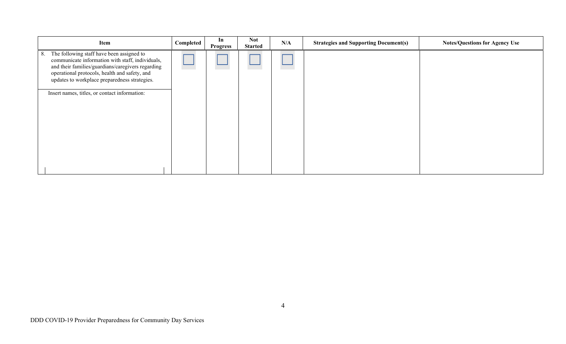| Item                                                                                                                                                                                                                                                                                                        | Completed | In<br><b>Progress</b> | <b>Not</b><br><b>Started</b> | N/A | <b>Strategies and Supporting Document(s)</b> | <b>Notes/Questions for Agency Use</b> |
|-------------------------------------------------------------------------------------------------------------------------------------------------------------------------------------------------------------------------------------------------------------------------------------------------------------|-----------|-----------------------|------------------------------|-----|----------------------------------------------|---------------------------------------|
| The following staff have been assigned to<br>8.<br>communicate information with staff, individuals,<br>and their families/guardians/caregivers regarding<br>operational protocols, health and safety, and<br>updates to workplace preparedness strategies.<br>Insert names, titles, or contact information: |           |                       |                              |     |                                              |                                       |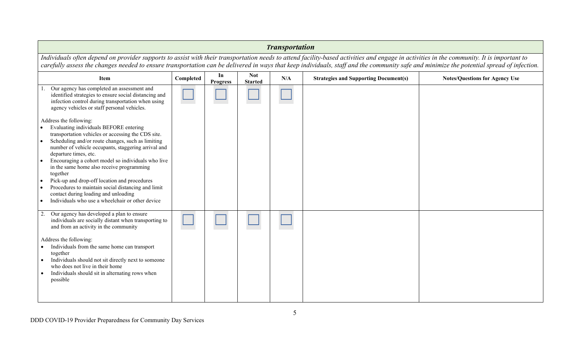| <b>Transportation</b>                                                                                                                                                                                                                                                                                                                                                                  |           |                       |                              |     |                                              |                                       |  |  |  |
|----------------------------------------------------------------------------------------------------------------------------------------------------------------------------------------------------------------------------------------------------------------------------------------------------------------------------------------------------------------------------------------|-----------|-----------------------|------------------------------|-----|----------------------------------------------|---------------------------------------|--|--|--|
| Individuals often depend on provider supports to assist with their transportation needs to attend facility-based activities and engage in activities in the community. It is important to<br>carefully assess the changes needed to ensure transportation can be delivered in ways that keep individuals, staff and the community safe and minimize the potential spread of infection. |           |                       |                              |     |                                              |                                       |  |  |  |
| <b>Item</b>                                                                                                                                                                                                                                                                                                                                                                            | Completed | In<br><b>Progress</b> | <b>Not</b><br><b>Started</b> | N/A | <b>Strategies and Supporting Document(s)</b> | <b>Notes/Questions for Agency Use</b> |  |  |  |
| Our agency has completed an assessment and<br>identified strategies to ensure social distancing and<br>infection control during transportation when using<br>agency vehicles or staff personal vehicles.                                                                                                                                                                               |           |                       |                              |     |                                              |                                       |  |  |  |
| Address the following:<br>Evaluating individuals BEFORE entering                                                                                                                                                                                                                                                                                                                       |           |                       |                              |     |                                              |                                       |  |  |  |
| transportation vehicles or accessing the CDS site.<br>Scheduling and/or route changes, such as limiting                                                                                                                                                                                                                                                                                |           |                       |                              |     |                                              |                                       |  |  |  |
| number of vehicle occupants, staggering arrival and<br>departure times, etc.                                                                                                                                                                                                                                                                                                           |           |                       |                              |     |                                              |                                       |  |  |  |
| Encouraging a cohort model so individuals who live<br>in the same home also receive programming<br>together                                                                                                                                                                                                                                                                            |           |                       |                              |     |                                              |                                       |  |  |  |
| Pick-up and drop-off location and procedures                                                                                                                                                                                                                                                                                                                                           |           |                       |                              |     |                                              |                                       |  |  |  |
| Procedures to maintain social distancing and limit<br>contact during loading and unloading                                                                                                                                                                                                                                                                                             |           |                       |                              |     |                                              |                                       |  |  |  |
| Individuals who use a wheelchair or other device                                                                                                                                                                                                                                                                                                                                       |           |                       |                              |     |                                              |                                       |  |  |  |
| Our agency has developed a plan to ensure<br>2.<br>individuals are socially distant when transporting to<br>and from an activity in the community                                                                                                                                                                                                                                      |           |                       |                              |     |                                              |                                       |  |  |  |
| Address the following:<br>Individuals from the same home can transport<br>together                                                                                                                                                                                                                                                                                                     |           |                       |                              |     |                                              |                                       |  |  |  |
| Individuals should not sit directly next to someone<br>who does not live in their home<br>Individuals should sit in alternating rows when                                                                                                                                                                                                                                              |           |                       |                              |     |                                              |                                       |  |  |  |
| possible                                                                                                                                                                                                                                                                                                                                                                               |           |                       |                              |     |                                              |                                       |  |  |  |
|                                                                                                                                                                                                                                                                                                                                                                                        |           |                       |                              |     |                                              |                                       |  |  |  |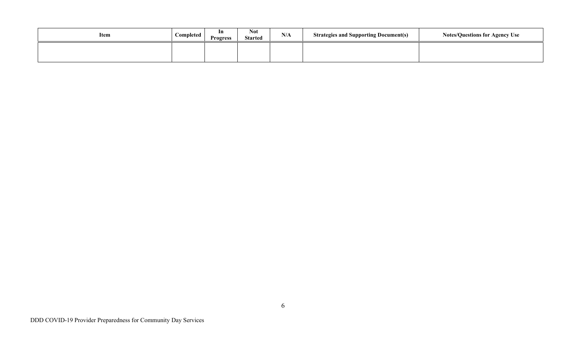| Item | Completed | 1n<br><b>Progress</b> | <b>Not</b><br><b>Started</b> | N/A | <b>Strategies and Supporting Document(s)</b> | <b>Notes/Questions for Agency Use</b> |
|------|-----------|-----------------------|------------------------------|-----|----------------------------------------------|---------------------------------------|
|      |           |                       |                              |     |                                              |                                       |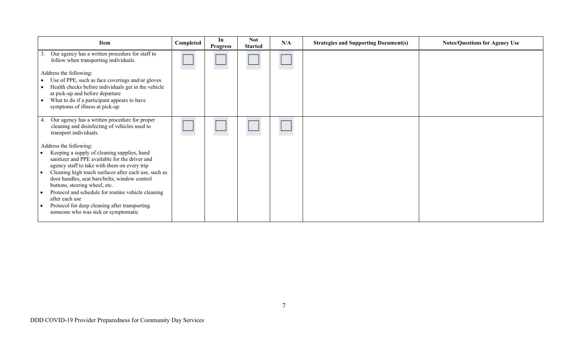| Item                                                                                                                                          | Completed | In<br><b>Progress</b> | <b>Not</b><br><b>Started</b> | N/A | <b>Strategies and Supporting Document(s)</b> | <b>Notes/Questions for Agency Use</b> |
|-----------------------------------------------------------------------------------------------------------------------------------------------|-----------|-----------------------|------------------------------|-----|----------------------------------------------|---------------------------------------|
| Our agency has a written procedure for staff to<br>3.<br>follow when transporting individuals.                                                |           |                       |                              |     |                                              |                                       |
| Address the following:                                                                                                                        |           |                       |                              |     |                                              |                                       |
| Use of PPE, such as face coverings and/or gloves                                                                                              |           |                       |                              |     |                                              |                                       |
| Health checks before individuals get in the vehicle<br>at pick-up and before departure                                                        |           |                       |                              |     |                                              |                                       |
| What to do if a participant appears to have                                                                                                   |           |                       |                              |     |                                              |                                       |
| symptoms of illness at pick-up                                                                                                                |           |                       |                              |     |                                              |                                       |
| Our agency has a written procedure for proper<br>4.<br>cleaning and disinfecting of vehicles used to<br>transport individuals.                |           |                       |                              |     |                                              |                                       |
| Address the following:                                                                                                                        |           |                       |                              |     |                                              |                                       |
| Keeping a supply of cleaning supplies, hand<br>sanitizer and PPE available for the driver and<br>agency staff to take with them on every trip |           |                       |                              |     |                                              |                                       |
| Cleaning high touch surfaces after each use, such as<br>door handles, seat bars/belts, window control<br>buttons, steering wheel, etc.        |           |                       |                              |     |                                              |                                       |
| Protocol and schedule for routine vehicle cleaning<br>after each use                                                                          |           |                       |                              |     |                                              |                                       |
| Protocol for deep cleaning after transporting                                                                                                 |           |                       |                              |     |                                              |                                       |
| someone who was sick or symptomatic                                                                                                           |           |                       |                              |     |                                              |                                       |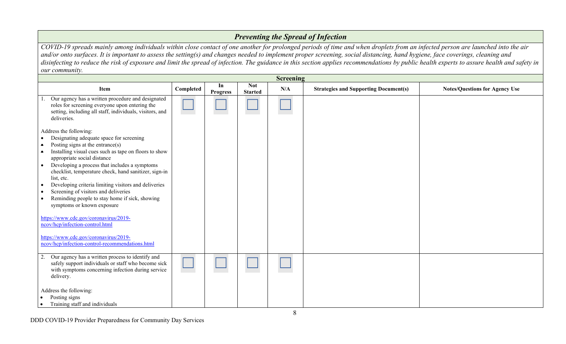# *Preventing the Spread of Infection*

*COVID-19 spreads mainly among individuals within close contact of one another for prolonged periods of time and when droplets from an infected person are launched into the air and/or onto surfaces. It is important to assess the setting(s) and changes needed to implement proper screening, social distancing, hand hygiene, face coverings, cleaning and disinfecting to reduce the risk of exposure and limit the spread of infection. The guidance in this section applies recommendations by public health experts to assure health and safety in our community.* 

| <b>Screening</b>                                                                                                                                                                                                                                                                                                                                                                                                                                                                                                                                                                     |           |                       |                              |     |                                              |                                       |  |  |
|--------------------------------------------------------------------------------------------------------------------------------------------------------------------------------------------------------------------------------------------------------------------------------------------------------------------------------------------------------------------------------------------------------------------------------------------------------------------------------------------------------------------------------------------------------------------------------------|-----------|-----------------------|------------------------------|-----|----------------------------------------------|---------------------------------------|--|--|
| <b>Item</b>                                                                                                                                                                                                                                                                                                                                                                                                                                                                                                                                                                          | Completed | In<br><b>Progress</b> | <b>Not</b><br><b>Started</b> | N/A | <b>Strategies and Supporting Document(s)</b> | <b>Notes/Questions for Agency Use</b> |  |  |
| Our agency has a written procedure and designated<br>roles for screening everyone upon entering the<br>setting, including all staff, individuals, visitors, and<br>deliveries.                                                                                                                                                                                                                                                                                                                                                                                                       |           |                       |                              |     |                                              |                                       |  |  |
| Address the following:<br>Designating adequate space for screening<br>Posting signs at the entrance(s)<br>$\bullet$<br>Installing visual cues such as tape on floors to show<br>$\bullet$<br>appropriate social distance<br>Developing a process that includes a symptoms<br>$\bullet$<br>checklist, temperature check, hand sanitizer, sign-in<br>list, etc.<br>Developing criteria limiting visitors and deliveries<br>$\bullet$<br>Screening of visitors and deliveries<br>$\bullet$<br>Reminding people to stay home if sick, showing<br>$\bullet$<br>symptoms or known exposure |           |                       |                              |     |                                              |                                       |  |  |
| https://www.cdc.gov/coronavirus/2019-<br>ncov/hcp/infection-control.html<br>https://www.cdc.gov/coronavirus/2019-<br>ncov/hcp/infection-control-recommendations.html                                                                                                                                                                                                                                                                                                                                                                                                                 |           |                       |                              |     |                                              |                                       |  |  |
| Our agency has a written process to identify and<br>2.<br>safely support individuals or staff who become sick<br>with symptoms concerning infection during service<br>delivery.<br>Address the following:<br>Posting signs<br>Training staff and individuals<br>$\bullet$                                                                                                                                                                                                                                                                                                            |           |                       |                              |     |                                              |                                       |  |  |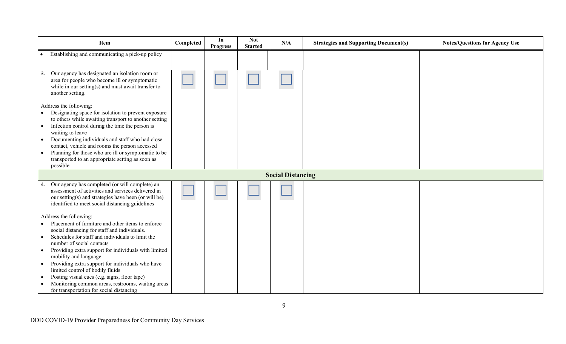| Item                                                                                                                                                                                                                                                                                                                                                                                                                                                                                                                                                | Completed | In<br><b>Progress</b> | <b>Not</b><br><b>Started</b> | N/A                      | <b>Strategies and Supporting Document(s)</b> | <b>Notes/Questions for Agency Use</b> |
|-----------------------------------------------------------------------------------------------------------------------------------------------------------------------------------------------------------------------------------------------------------------------------------------------------------------------------------------------------------------------------------------------------------------------------------------------------------------------------------------------------------------------------------------------------|-----------|-----------------------|------------------------------|--------------------------|----------------------------------------------|---------------------------------------|
| Establishing and communicating a pick-up policy                                                                                                                                                                                                                                                                                                                                                                                                                                                                                                     |           |                       |                              |                          |                                              |                                       |
| Our agency has designated an isolation room or<br>3.<br>area for people who become ill or symptomatic<br>while in our setting(s) and must await transfer to<br>another setting.                                                                                                                                                                                                                                                                                                                                                                     |           |                       |                              |                          |                                              |                                       |
| Address the following:<br>Designating space for isolation to prevent exposure<br>to others while awaiting transport to another setting<br>Infection control during the time the person is<br>$\bullet$<br>waiting to leave<br>Documenting individuals and staff who had close<br>contact, vehicle and rooms the person accessed<br>Planning for those who are ill or symptomatic to be<br>transported to an appropriate setting as soon as<br>possible                                                                                              |           |                       |                              |                          |                                              |                                       |
|                                                                                                                                                                                                                                                                                                                                                                                                                                                                                                                                                     |           |                       |                              | <b>Social Distancing</b> |                                              |                                       |
| Our agency has completed (or will complete) an<br>4.<br>assessment of activities and services delivered in<br>our setting(s) and strategies have been (or will be)<br>identified to meet social distancing guidelines                                                                                                                                                                                                                                                                                                                               |           |                       |                              |                          |                                              |                                       |
| Address the following:<br>Placement of furniture and other items to enforce<br>social distancing for staff and individuals.<br>Schedules for staff and individuals to limit the<br>number of social contacts<br>Providing extra support for individuals with limited<br>$\bullet$<br>mobility and language<br>Providing extra support for individuals who have<br>limited control of bodily fluids<br>Posting visual cues (e.g. signs, floor tape)<br>Monitoring common areas, restrooms, waiting areas<br>for transportation for social distancing |           |                       |                              |                          |                                              |                                       |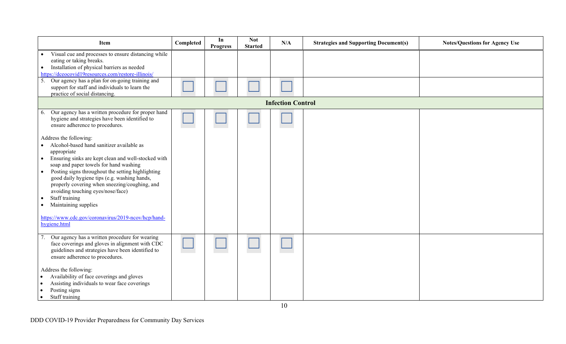| Item                                                                                                                                                                                                                                                                                                                                                                                                                                               | Completed | In<br><b>Progress</b> | <b>Not</b><br><b>Started</b> | N/A                      | <b>Strategies and Supporting Document(s)</b> | <b>Notes/Questions for Agency Use</b> |
|----------------------------------------------------------------------------------------------------------------------------------------------------------------------------------------------------------------------------------------------------------------------------------------------------------------------------------------------------------------------------------------------------------------------------------------------------|-----------|-----------------------|------------------------------|--------------------------|----------------------------------------------|---------------------------------------|
| Visual cue and processes to ensure distancing while<br>eating or taking breaks.<br>Installation of physical barriers as needed<br>$\bullet$<br>https://dceocovid19resources.com/restore-illinois/<br>5. Our agency has a plan for on-going training and                                                                                                                                                                                            |           |                       |                              |                          |                                              |                                       |
| support for staff and individuals to learn the<br>practice of social distancing.                                                                                                                                                                                                                                                                                                                                                                   |           |                       |                              |                          |                                              |                                       |
|                                                                                                                                                                                                                                                                                                                                                                                                                                                    |           |                       |                              | <b>Infection Control</b> |                                              |                                       |
| Our agency has a written procedure for proper hand<br>6.<br>hygiene and strategies have been identified to<br>ensure adherence to procedures.                                                                                                                                                                                                                                                                                                      |           |                       |                              |                          |                                              |                                       |
| Address the following:<br>Alcohol-based hand sanitizer available as<br>appropriate<br>Ensuring sinks are kept clean and well-stocked with<br>$\bullet$<br>soap and paper towels for hand washing<br>Posting signs throughout the setting highlighting<br>$\bullet$<br>good daily hygiene tips (e.g. washing hands,<br>properly covering when sneezing/coughing, and<br>avoiding touching eyes/nose/face)<br>Staff training<br>Maintaining supplies |           |                       |                              |                          |                                              |                                       |
| https://www.cdc.gov/coronavirus/2019-ncov/hcp/hand-<br>hygiene.html                                                                                                                                                                                                                                                                                                                                                                                |           |                       |                              |                          |                                              |                                       |
| Our agency has a written procedure for wearing<br>face coverings and gloves in alignment with CDC<br>guidelines and strategies have been identified to<br>ensure adherence to procedures.                                                                                                                                                                                                                                                          |           |                       |                              |                          |                                              |                                       |
| Address the following:<br>Availability of face coverings and gloves<br>$\bullet$<br>Assisting individuals to wear face coverings<br>$\bullet$<br>Posting signs<br>Staff training<br>$\bullet$                                                                                                                                                                                                                                                      |           |                       |                              |                          |                                              |                                       |

DDD COVID-19 Provider Preparedness for Community Day Services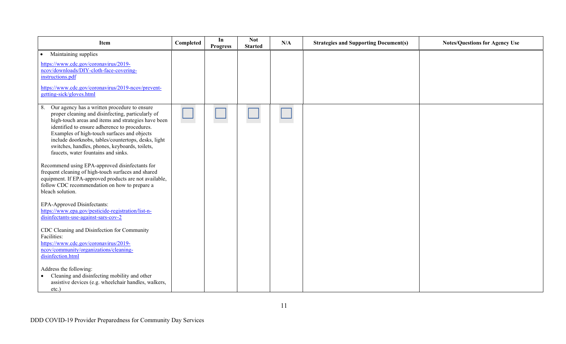| Item                                                                                                                                                                                                                                                                                                                                                                                                           | Completed | In<br><b>Progress</b> | <b>Not</b><br><b>Started</b> | N/A | <b>Strategies and Supporting Document(s)</b> | <b>Notes/Questions for Agency Use</b> |
|----------------------------------------------------------------------------------------------------------------------------------------------------------------------------------------------------------------------------------------------------------------------------------------------------------------------------------------------------------------------------------------------------------------|-----------|-----------------------|------------------------------|-----|----------------------------------------------|---------------------------------------|
| Maintaining supplies<br>$\bullet$<br>https://www.cdc.gov/coronavirus/2019-<br>ncov/downloads/DIY-cloth-face-covering-<br>instructions.pdf<br>https://www.cdc.gov/coronavirus/2019-ncov/prevent-<br>getting-sick/gloves.html                                                                                                                                                                                    |           |                       |                              |     |                                              |                                       |
| Our agency has a written procedure to ensure<br>8.<br>proper cleaning and disinfecting, particularly of<br>high-touch areas and items and strategies have been<br>identified to ensure adherence to procedures.<br>Examples of high-touch surfaces and objects<br>include doorknobs, tables/countertops, desks, light<br>switches, handles, phones, keyboards, toilets,<br>faucets, water fountains and sinks. |           |                       |                              |     |                                              |                                       |
| Recommend using EPA-approved disinfectants for<br>frequent cleaning of high-touch surfaces and shared<br>equipment. If EPA-approved products are not available,<br>follow CDC recommendation on how to prepare a<br>bleach solution.                                                                                                                                                                           |           |                       |                              |     |                                              |                                       |
| EPA-Approved Disinfectants:<br>https://www.epa.gov/pesticide-registration/list-n-<br>disinfectants-use-against-sars-cov-2                                                                                                                                                                                                                                                                                      |           |                       |                              |     |                                              |                                       |
| CDC Cleaning and Disinfection for Community<br>Facilities:<br>https://www.cdc.gov/coronavirus/2019-<br>ncov/community/organizations/cleaning-<br>disinfection.html                                                                                                                                                                                                                                             |           |                       |                              |     |                                              |                                       |
| Address the following:<br>Cleaning and disinfecting mobility and other<br>assistive devices (e.g. wheelchair handles, walkers,<br>etc.)                                                                                                                                                                                                                                                                        |           |                       |                              |     |                                              |                                       |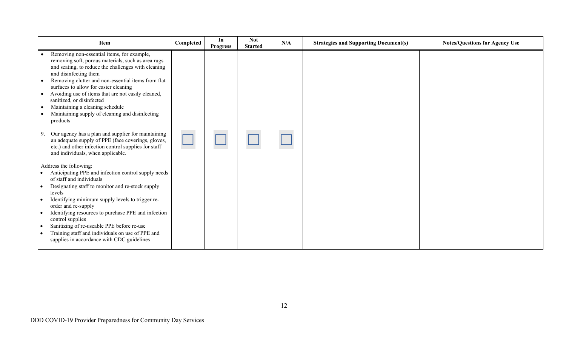| Item                                                                                                                                                                                                                                                                                                                                                                                                                                                                                                                                                                                                                                                                                                             | Completed | In<br><b>Progress</b> | <b>Not</b><br><b>Started</b> | N/A | <b>Strategies and Supporting Document(s)</b> | <b>Notes/Questions for Agency Use</b> |
|------------------------------------------------------------------------------------------------------------------------------------------------------------------------------------------------------------------------------------------------------------------------------------------------------------------------------------------------------------------------------------------------------------------------------------------------------------------------------------------------------------------------------------------------------------------------------------------------------------------------------------------------------------------------------------------------------------------|-----------|-----------------------|------------------------------|-----|----------------------------------------------|---------------------------------------|
| Removing non-essential items, for example,<br>removing soft, porous materials, such as area rugs<br>and seating, to reduce the challenges with cleaning<br>and disinfecting them<br>Removing clutter and non-essential items from flat<br>surfaces to allow for easier cleaning<br>Avoiding use of items that are not easily cleaned,<br>sanitized, or disinfected<br>Maintaining a cleaning schedule<br>Maintaining supply of cleaning and disinfecting<br>products                                                                                                                                                                                                                                             |           |                       |                              |     |                                              |                                       |
| Our agency has a plan and supplier for maintaining<br>an adequate supply of PPE (face coverings, gloves,<br>etc.) and other infection control supplies for staff<br>and individuals, when applicable.<br>Address the following:<br>Anticipating PPE and infection control supply needs<br>of staff and individuals<br>Designating staff to monitor and re-stock supply<br>$\bullet$<br>levels<br>Identifying minimum supply levels to trigger re-<br>order and re-supply<br>Identifying resources to purchase PPE and infection<br>control supplies<br>Sanitizing of re-useable PPE before re-use<br>$\bullet$<br>Training staff and individuals on use of PPE and<br>supplies in accordance with CDC guidelines |           |                       |                              |     |                                              |                                       |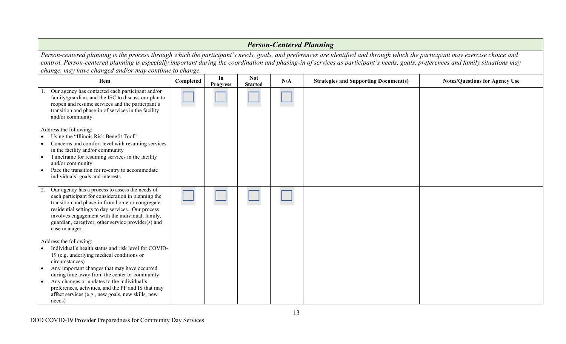| <b>Person-Centered Planning</b>                                                                                                                                                                                                                                                                                                                                                                                                |           |                       |                              |     |                                              |                                       |  |
|--------------------------------------------------------------------------------------------------------------------------------------------------------------------------------------------------------------------------------------------------------------------------------------------------------------------------------------------------------------------------------------------------------------------------------|-----------|-----------------------|------------------------------|-----|----------------------------------------------|---------------------------------------|--|
| Person-centered planning is the process through which the participant's needs, goals, and preferences are identified and through which the participant may exercise choice and<br>control. Person-centered planning is especially important during the coordination and phasing-in of services as participant's needs, goals, preferences and family situations may<br>change, may have changed and/or may continue to change. |           |                       |                              |     |                                              |                                       |  |
| Item                                                                                                                                                                                                                                                                                                                                                                                                                           | Completed | In<br><b>Progress</b> | <b>Not</b><br><b>Started</b> | N/A | <b>Strategies and Supporting Document(s)</b> | <b>Notes/Questions for Agency Use</b> |  |
| Our agency has contacted each participant and/or<br>family/guardian, and the ISC to discuss our plan to<br>reopen and resume services and the participant's<br>transition and phase-in of services in the facility<br>and/or community.                                                                                                                                                                                        |           |                       |                              |     |                                              |                                       |  |
| Address the following:<br>Using the "Illinois Risk Benefit Tool"<br>Concerns and comfort level with resuming services<br>in the facility and/or community<br>Timeframe for resuming services in the facility<br>and/or community<br>Pace the transition for re-entry to accommodate<br>individuals' goals and interests                                                                                                        |           |                       |                              |     |                                              |                                       |  |
| Our agency has a process to assess the needs of<br>each participant for consideration in planning the<br>transition and phase-in from home or congregate<br>residential settings to day services. Our process<br>involves engagement with the individual, family,<br>guardian, caregiver, other service provider(s) and<br>case manager.                                                                                       |           |                       |                              |     |                                              |                                       |  |
| Address the following:<br>Individual's health status and risk level for COVID-<br>19 (e.g. underlying medical conditions or<br>circumstances)<br>Any important changes that may have occurred<br>during time away from the center or community<br>Any changes or updates to the individual's<br>preferences, activities, and the PP and IS that may<br>affect services (e.g., new goals, new skills, new<br>needs)             |           |                       |                              |     |                                              |                                       |  |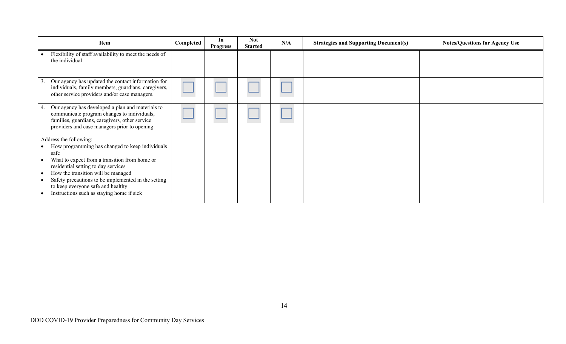| Item                                                                                                                                                                                                     | Completed | In<br><b>Progress</b> | <b>Not</b><br><b>Started</b> | N/A | <b>Strategies and Supporting Document(s)</b> | <b>Notes/Questions for Agency Use</b> |
|----------------------------------------------------------------------------------------------------------------------------------------------------------------------------------------------------------|-----------|-----------------------|------------------------------|-----|----------------------------------------------|---------------------------------------|
| Flexibility of staff availability to meet the needs of<br>the individual                                                                                                                                 |           |                       |                              |     |                                              |                                       |
| Our agency has updated the contact information for<br>3<br>individuals, family members, guardians, caregivers,<br>other service providers and/or case managers.                                          |           |                       |                              |     |                                              |                                       |
| Our agency has developed a plan and materials to<br>4.<br>communicate program changes to individuals,<br>families, guardians, caregivers, other service<br>providers and case managers prior to opening. |           |                       |                              |     |                                              |                                       |
| Address the following:                                                                                                                                                                                   |           |                       |                              |     |                                              |                                       |
| How programming has changed to keep individuals<br>safe                                                                                                                                                  |           |                       |                              |     |                                              |                                       |
| What to expect from a transition from home or<br>residential setting to day services                                                                                                                     |           |                       |                              |     |                                              |                                       |
| How the transition will be managed<br>$\bullet$                                                                                                                                                          |           |                       |                              |     |                                              |                                       |
| Safety precautions to be implemented in the setting<br>to keep everyone safe and healthy                                                                                                                 |           |                       |                              |     |                                              |                                       |
| Instructions such as staying home if sick                                                                                                                                                                |           |                       |                              |     |                                              |                                       |
|                                                                                                                                                                                                          |           |                       |                              |     |                                              |                                       |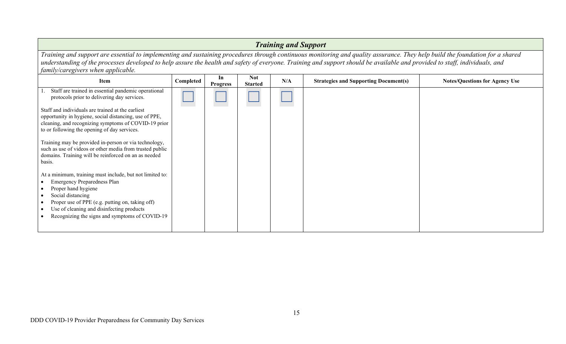| <b>Training and Support</b>                                                                                                                                                                                                                                                                                                                                                                        |           |                       |                              |     |                                              |                                       |  |  |
|----------------------------------------------------------------------------------------------------------------------------------------------------------------------------------------------------------------------------------------------------------------------------------------------------------------------------------------------------------------------------------------------------|-----------|-----------------------|------------------------------|-----|----------------------------------------------|---------------------------------------|--|--|
| Training and support are essential to implementing and sustaining procedures through continuous monitoring and quality assurance. They help build the foundation for a shared<br>understanding of the processes developed to help assure the health and safety of everyone. Training and support should be available and provided to staff, individuals, and<br>family/caregivers when applicable. |           |                       |                              |     |                                              |                                       |  |  |
| <b>Item</b>                                                                                                                                                                                                                                                                                                                                                                                        | Completed | In<br><b>Progress</b> | <b>Not</b><br><b>Started</b> | N/A | <b>Strategies and Supporting Document(s)</b> | <b>Notes/Questions for Agency Use</b> |  |  |
| Staff are trained in essential pandemic operational<br>protocols prior to delivering day services.                                                                                                                                                                                                                                                                                                 |           |                       |                              |     |                                              |                                       |  |  |
| Staff and individuals are trained at the earliest<br>opportunity in hygiene, social distancing, use of PPE,<br>cleaning, and recognizing symptoms of COVID-19 prior<br>to or following the opening of day services.                                                                                                                                                                                |           |                       |                              |     |                                              |                                       |  |  |
| Training may be provided in-person or via technology,<br>such as use of videos or other media from trusted public<br>domains. Training will be reinforced on an as needed<br>basis.                                                                                                                                                                                                                |           |                       |                              |     |                                              |                                       |  |  |
| At a minimum, training must include, but not limited to:<br><b>Emergency Preparedness Plan</b><br>Proper hand hygiene<br>Social distancing<br>Proper use of PPE (e.g. putting on, taking off)<br>Use of cleaning and disinfecting products<br>Recognizing the signs and symptoms of COVID-19                                                                                                       |           |                       |                              |     |                                              |                                       |  |  |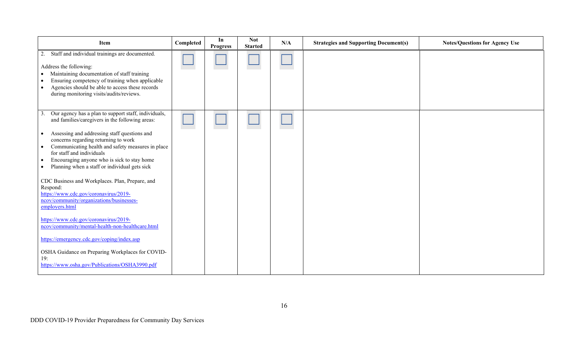| Item                                                                                                                                                                                                                                                                                                                                                                                                                                                                                                                                                                                           | Completed | In<br><b>Progress</b> | <b>Not</b><br><b>Started</b> | N/A | <b>Strategies and Supporting Document(s)</b> | <b>Notes/Questions for Agency Use</b> |
|------------------------------------------------------------------------------------------------------------------------------------------------------------------------------------------------------------------------------------------------------------------------------------------------------------------------------------------------------------------------------------------------------------------------------------------------------------------------------------------------------------------------------------------------------------------------------------------------|-----------|-----------------------|------------------------------|-----|----------------------------------------------|---------------------------------------|
| Staff and individual trainings are documented.<br>2.<br>Address the following:<br>Maintaining documentation of staff training<br>Ensuring competency of training when applicable<br>- 0<br>Agencies should be able to access these records<br>during monitoring visits/audits/reviews.                                                                                                                                                                                                                                                                                                         |           |                       |                              |     |                                              |                                       |
| Our agency has a plan to support staff, individuals,<br>$\mathfrak{Z}$<br>and families/caregivers in the following areas:<br>Assessing and addressing staff questions and<br>$\bullet$<br>concerns regarding returning to work<br>Communicating health and safety measures in place<br>for staff and individuals<br>Encouraging anyone who is sick to stay home<br>$\bullet$<br>Planning when a staff or individual gets sick<br>$\bullet$<br>CDC Business and Workplaces. Plan, Prepare, and<br>Respond:<br>https://www.cdc.gov/coronavirus/2019-<br>ncov/community/organizations/businesses- |           |                       |                              |     |                                              |                                       |
| employers.html<br>https://www.cdc.gov/coronavirus/2019-<br>ncov/community/mental-health-non-healthcare.html<br>https://emergency.cdc.gov/coping/index.asp<br>OSHA Guidance on Preparing Workplaces for COVID-<br>19:<br>https://www.osha.gov/Publications/OSHA3990.pdf                                                                                                                                                                                                                                                                                                                         |           |                       |                              |     |                                              |                                       |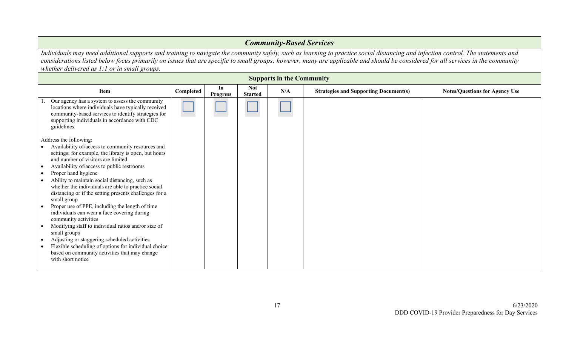#### *Community-Based Services Individuals may need additional supports and training to navigate the community safely, such as learning to practice social distancing and infection control. The statements and considerations listed below focus primarily on issues that are specific to small groups; however, many are applicable and should be considered for all services in the community whether delivered as 1:1 or in small groups.* **Supports in the Community Item Completed In Progress Not Notes/Questions for Agency Use**<br>Started **N/A Strategies and Supporting Document(s) Notes/Questions for Agency Use** 1. Our agency has a system to assess the community locations where individuals have typically received community-based services to identify strategies for supporting individuals in accordance with CDC guidelines. Address the following: • Availability of/access to community resources and settings; for example, the library is open, but hours and number of visitors are limited • Availability of/access to public restrooms • Proper hand hygiene • Ability to maintain social distancing, such as whether the individuals are able to practice social distancing or if the setting presents challenges for a small group • Proper use of PPE, including the length of time individuals can wear a face covering during community activities • Modifying staff to individual ratios and/or size of small groups • Adjusting or staggering scheduled activities Flexible scheduling of options for individual choice based on community activities that may change with short notice ☐ ☐ ☐ ☐